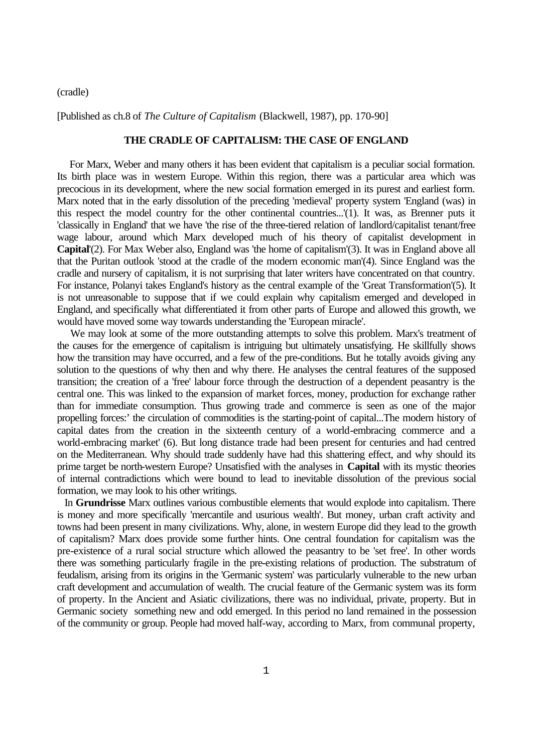## (cradle)

## [Published as ch.8 of *The Culture of Capitalism* (Blackwell, 1987), pp. 170-90]

## **THE CRADLE OF CAPITALISM: THE CASE OF ENGLAND**

 For Marx, Weber and many others it has been evident that capitalism is a peculiar social formation. Its birth place was in western Europe. Within this region, there was a particular area which was precocious in its development, where the new social formation emerged in its purest and earliest form. Marx noted that in the early dissolution of the preceding 'medieval' property system 'England (was) in this respect the model country for the other continental countries...'(1). It was, as Brenner puts it 'classically in England' that we have 'the rise of the three-tiered relation of landlord/capitalist tenant/free wage labour, around which Marx developed much of his theory of capitalist development in **Capital**'(2). For Max Weber also, England was 'the home of capitalism'(3). It was in England above all that the Puritan outlook 'stood at the cradle of the modern economic man'(4). Since England was the cradle and nursery of capitalism, it is not surprising that later writers have concentrated on that country. For instance, Polanyi takes England's history as the central example of the 'Great Transformation'(5). It is not unreasonable to suppose that if we could explain why capitalism emerged and developed in England, and specifically what differentiated it from other parts of Europe and allowed this growth, we would have moved some way towards understanding the 'European miracle'.

 We may look at some of the more outstanding attempts to solve this problem. Marx's treatment of the causes for the emergence of capitalism is intriguing but ultimately unsatisfying. He skillfully shows how the transition may have occurred, and a few of the pre-conditions. But he totally avoids giving any solution to the questions of why then and why there. He analyses the central features of the supposed transition; the creation of a 'free' labour force through the destruction of a dependent peasantry is the central one. This was linked to the expansion of market forces, money, production for exchange rather than for immediate consumption. Thus growing trade and commerce is seen as one of the major propelling forces:' the circulation of commodities is the starting-point of capital...The modern history of capital dates from the creation in the sixteenth century of a world-embracing commerce and a world-embracing market' (6). But long distance trade had been present for centuries and had centred on the Mediterranean. Why should trade suddenly have had this shattering effect, and why should its prime target be north-western Europe? Unsatisfied with the analyses in **Capital** with its mystic theories of internal contradictions which were bound to lead to inevitable dissolution of the previous social formation, we may look to his other writings.

 In **Grundrisse** Marx outlines various combustible elements that would explode into capitalism. There is money and more specifically 'mercantile and usurious wealth'. But money, urban craft activity and towns had been present in many civilizations. Why, alone, in western Europe did they lead to the growth of capitalism? Marx does provide some further hints. One central foundation for capitalism was the pre-existence of a rural social structure which allowed the peasantry to be 'set free'. In other words there was something particularly fragile in the pre-existing relations of production. The substratum of feudalism, arising from its origins in the 'Germanic system' was particularly vulnerable to the new urban craft development and accumulation of wealth. The crucial feature of the Germanic system was its form of property. In the Ancient and Asiatic civilizations, there was no individual, private, property. But in Germanic society something new and odd emerged. In this period no land remained in the possession of the community or group. People had moved half-way, according to Marx, from communal property,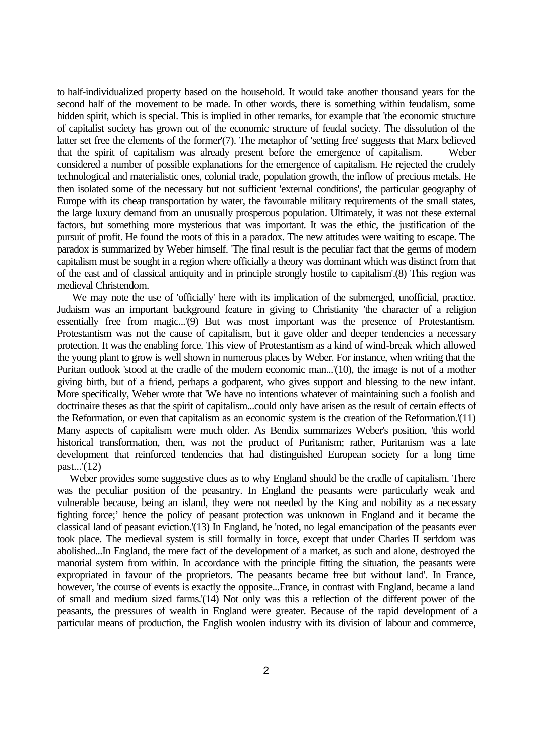to half-individualized property based on the household. It would take another thousand years for the second half of the movement to be made. In other words, there is something within feudalism, some hidden spirit, which is special. This is implied in other remarks, for example that 'the economic structure of capitalist society has grown out of the economic structure of feudal society. The dissolution of the latter set free the elements of the former'(7). The metaphor of 'setting free' suggests that Marx believed that the spirit of capitalism was already present before the emergence of capitalism. considered a number of possible explanations for the emergence of capitalism. He rejected the crudely technological and materialistic ones, colonial trade, population growth, the inflow of precious metals. He then isolated some of the necessary but not sufficient 'external conditions', the particular geography of Europe with its cheap transportation by water, the favourable military requirements of the small states, the large luxury demand from an unusually prosperous population. Ultimately, it was not these external factors, but something more mysterious that was important. It was the ethic, the justification of the pursuit of profit. He found the roots of this in a paradox. The new attitudes were waiting to escape. The paradox is summarized by Weber himself. 'The final result is the peculiar fact that the germs of modern capitalism must be sought in a region where officially a theory was dominant which was distinct from that of the east and of classical antiquity and in principle strongly hostile to capitalism'.(8) This region was medieval Christendom.

 We may note the use of 'officially' here with its implication of the submerged, unofficial, practice. Judaism was an important background feature in giving to Christianity 'the character of a religion essentially free from magic...'(9) But was most important was the presence of Protestantism. Protestantism was not the cause of capitalism, but it gave older and deeper tendencies a necessary protection. It was the enabling force. This view of Protestantism as a kind of wind-break which allowed the young plant to grow is well shown in numerous places by Weber. For instance, when writing that the Puritan outlook 'stood at the cradle of the modern economic man...'(10), the image is not of a mother giving birth, but of a friend, perhaps a godparent, who gives support and blessing to the new infant. More specifically, Weber wrote that 'We have no intentions whatever of maintaining such a foolish and doctrinaire theses as that the spirit of capitalism...could only have arisen as the result of certain effects of the Reformation, or even that capitalism as an economic system is the creation of the Reformation.'(11) Many aspects of capitalism were much older. As Bendix summarizes Weber's position, 'this world historical transformation, then, was not the product of Puritanism; rather, Puritanism was a late development that reinforced tendencies that had distinguished European society for a long time past...'(12)

Weber provides some suggestive clues as to why England should be the cradle of capitalism. There was the peculiar position of the peasantry. In England the peasants were particularly weak and vulnerable because, being an island, they were not needed by the King and nobility as a necessary fighting force;' hence the policy of peasant protection was unknown in England and it became the classical land of peasant eviction.'(13) In England, he 'noted, no legal emancipation of the peasants ever took place. The medieval system is still formally in force, except that under Charles II serfdom was abolished...In England, the mere fact of the development of a market, as such and alone, destroyed the manorial system from within. In accordance with the principle fitting the situation, the peasants were expropriated in favour of the proprietors. The peasants became free but without land'. In France, however, 'the course of events is exactly the opposite...France, in contrast with England, became a land of small and medium sized farms.'(14) Not only was this a reflection of the different power of the peasants, the pressures of wealth in England were greater. Because of the rapid development of a particular means of production, the English woolen industry with its division of labour and commerce,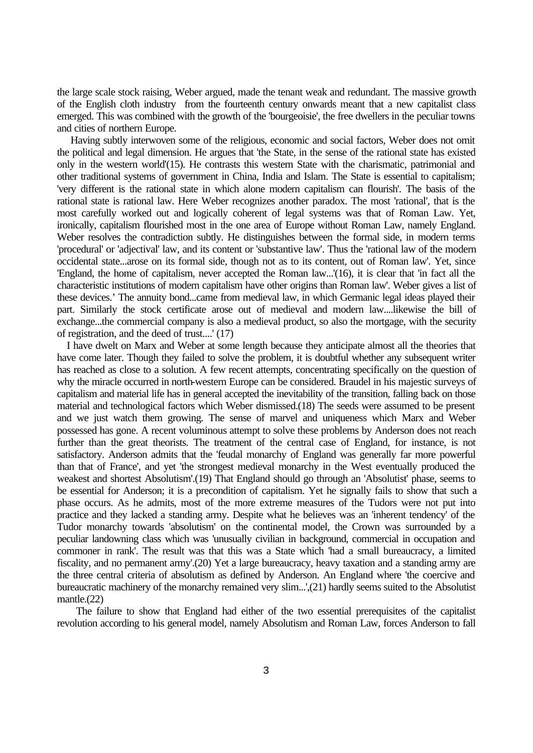the large scale stock raising, Weber argued, made the tenant weak and redundant. The massive growth of the English cloth industry from the fourteenth century onwards meant that a new capitalist class emerged. This was combined with the growth of the 'bourgeoisie', the free dwellers in the peculiar towns and cities of northern Europe.

 Having subtly interwoven some of the religious, economic and social factors, Weber does not omit the political and legal dimension. He argues that 'the State, in the sense of the rational state has existed only in the western world'(15). He contrasts this western State with the charismatic, patrimonial and other traditional systems of government in China, India and Islam. The State is essential to capitalism; 'very different is the rational state in which alone modern capitalism can flourish'. The basis of the rational state is rational law. Here Weber recognizes another paradox. The most 'rational', that is the most carefully worked out and logically coherent of legal systems was that of Roman Law. Yet, ironically, capitalism flourished most in the one area of Europe without Roman Law, namely England. Weber resolves the contradiction subtly. He distinguishes between the formal side, in modern terms 'procedural' or 'adjectival' law, and its content or 'substantive law'. Thus the 'rational law of the modern occidental state...arose on its formal side, though not as to its content, out of Roman law'. Yet, since 'England, the home of capitalism, never accepted the Roman law...'(16), it is clear that 'in fact all the characteristic institutions of modern capitalism have other origins than Roman law'. Weber gives a list of these devices.' The annuity bond...came from medieval law, in which Germanic legal ideas played their part. Similarly the stock certificate arose out of medieval and modern law....likewise the bill of exchange...the commercial company is also a medieval product, so also the mortgage, with the security of registration, and the deed of trust....' (17)

 I have dwelt on Marx and Weber at some length because they anticipate almost all the theories that have come later. Though they failed to solve the problem, it is doubtful whether any subsequent writer has reached as close to a solution. A few recent attempts, concentrating specifically on the question of why the miracle occurred in north-western Europe can be considered. Braudel in his majestic surveys of capitalism and material life has in general accepted the inevitability of the transition, falling back on those material and technological factors which Weber dismissed.(18) The seeds were assumed to be present and we just watch them growing. The sense of marvel and uniqueness which Marx and Weber possessed has gone. A recent voluminous attempt to solve these problems by Anderson does not reach further than the great theorists. The treatment of the central case of England, for instance, is not satisfactory. Anderson admits that the 'feudal monarchy of England was generally far more powerful than that of France', and yet 'the strongest medieval monarchy in the West eventually produced the weakest and shortest Absolutism'.(19) That England should go through an 'Absolutist' phase, seems to be essential for Anderson; it is a precondition of capitalism. Yet he signally fails to show that such a phase occurs. As he admits, most of the more extreme measures of the Tudors were not put into practice and they lacked a standing army. Despite what he believes was an 'inherent tendency' of the Tudor monarchy towards 'absolutism' on the continental model, the Crown was surrounded by a peculiar landowning class which was 'unusually civilian in background, commercial in occupation and commoner in rank'. The result was that this was a State which 'had a small bureaucracy, a limited fiscality, and no permanent army'.(20) Yet a large bureaucracy, heavy taxation and a standing army are the three central criteria of absolutism as defined by Anderson. An England where 'the coercive and bureaucratic machinery of the monarchy remained very slim...',(21) hardly seems suited to the Absolutist mantle.(22)

 The failure to show that England had either of the two essential prerequisites of the capitalist revolution according to his general model, namely Absolutism and Roman Law, forces Anderson to fall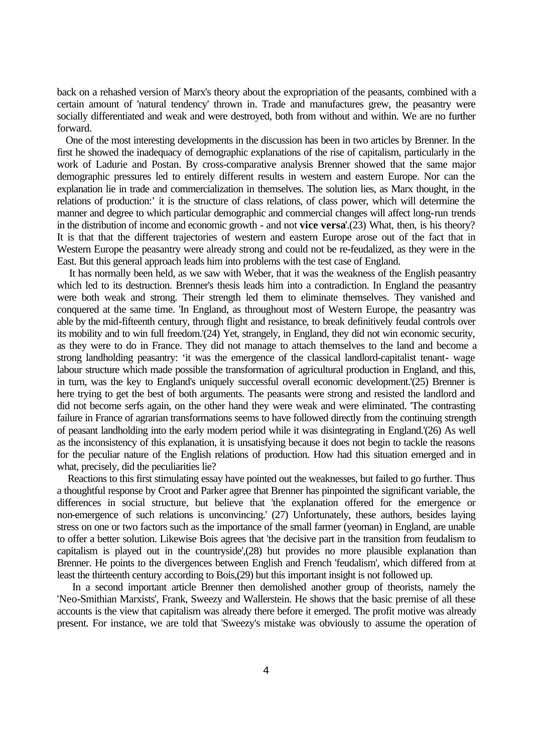back on a rehashed version of Marx's theory about the expropriation of the peasants, combined with a certain amount of 'natural tendency' thrown in. Trade and manufactures grew, the peasantry were socially differentiated and weak and were destroyed, both from without and within. We are no further forward.

 One of the most interesting developments in the discussion has been in two articles by Brenner. In the first he showed the inadequacy of demographic explanations of the rise of capitalism, particularly in the work of Ladurie and Postan. By cross-comparative analysis Brenner showed that the same major demographic pressures led to entirely different results in western and eastern Europe. Nor can the explanation lie in trade and commercialization in themselves. The solution lies, as Marx thought, in the relations of production:' it is the structure of class relations, of class power, which will determine the manner and degree to which particular demographic and commercial changes will affect long-run trends in the distribution of income and economic growth - and not **vice versa**'.(23) What, then, is his theory? It is that that the different trajectories of western and eastern Europe arose out of the fact that in Western Europe the peasantry were already strong and could not be re-feudalized, as they were in the East. But this general approach leads him into problems with the test case of England.

 It has normally been held, as we saw with Weber, that it was the weakness of the English peasantry which led to its destruction. Brenner's thesis leads him into a contradiction. In England the peasantry were both weak and strong. Their strength led them to eliminate themselves. They vanished and conquered at the same time. 'In England, as throughout most of Western Europe, the peasantry was able by the mid-fifteenth century, through flight and resistance, to break definitively feudal controls over its mobility and to win full freedom.'(24) Yet, strangely, in England, they did not win economic security, as they were to do in France. They did not manage to attach themselves to the land and become a strong landholding peasantry: 'it was the emergence of the classical landlord-capitalist tenant- wage labour structure which made possible the transformation of agricultural production in England, and this, in turn, was the key to England's uniquely successful overall economic development.'(25) Brenner is here trying to get the best of both arguments. The peasants were strong and resisted the landlord and did not become serfs again, on the other hand they were weak and were eliminated. 'The contrasting failure in France of agrarian transformations seems to have followed directly from the continuing strength of peasant landholding into the early modern period while it was disintegrating in England.'(26) As well as the inconsistency of this explanation, it is unsatisfying because it does not begin to tackle the reasons for the peculiar nature of the English relations of production. How had this situation emerged and in what, precisely, did the peculiarities lie?

 Reactions to this first stimulating essay have pointed out the weaknesses, but failed to go further. Thus a thoughtful response by Croot and Parker agree that Brenner has pinpointed the significant variable, the differences in social structure, but believe that 'the explanation offered for the emergence or non-emergence of such relations is unconvincing.' (27) Unfortunately, these authors, besides laying stress on one or two factors such as the importance of the small farmer (yeoman) in England, are unable to offer a better solution. Likewise Bois agrees that 'the decisive part in the transition from feudalism to capitalism is played out in the countryside',(28) but provides no more plausible explanation than Brenner. He points to the divergences between English and French 'feudalism', which differed from at least the thirteenth century according to Bois,(29) but this important insight is not followed up.

 In a second important article Brenner then demolished another group of theorists, namely the 'Neo-Smithian Marxists', Frank, Sweezy and Wallerstein. He shows that the basic premise of all these accounts is the view that capitalism was already there before it emerged. The profit motive was already present. For instance, we are told that 'Sweezy's mistake was obviously to assume the operation of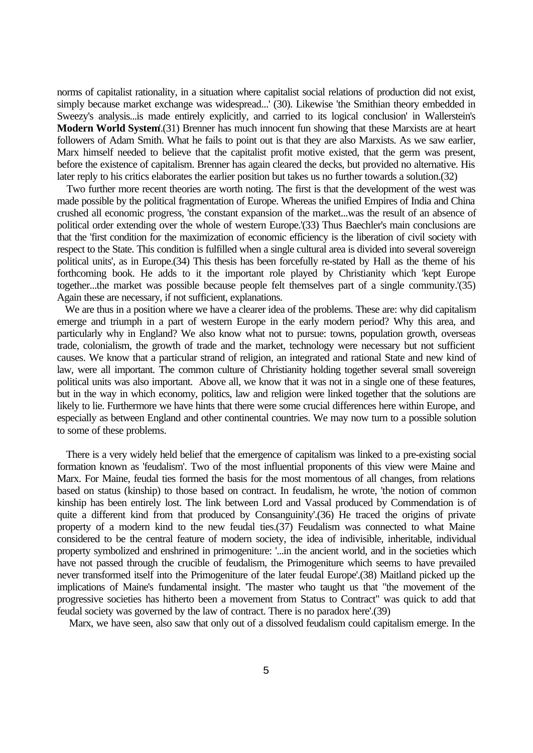norms of capitalist rationality, in a situation where capitalist social relations of production did not exist, simply because market exchange was widespread...' (30). Likewise 'the Smithian theory embedded in Sweezy's analysis...is made entirely explicitly, and carried to its logical conclusion' in Wallerstein's **Modern World System**'.(31) Brenner has much innocent fun showing that these Marxists are at heart followers of Adam Smith. What he fails to point out is that they are also Marxists. As we saw earlier, Marx himself needed to believe that the capitalist profit motive existed, that the germ was present, before the existence of capitalism. Brenner has again cleared the decks, but provided no alternative. His later reply to his critics elaborates the earlier position but takes us no further towards a solution.(32)

 Two further more recent theories are worth noting. The first is that the development of the west was made possible by the political fragmentation of Europe. Whereas the unified Empires of India and China crushed all economic progress, 'the constant expansion of the market...was the result of an absence of political order extending over the whole of western Europe.'(33) Thus Baechler's main conclusions are that the 'first condition for the maximization of economic efficiency is the liberation of civil society with respect to the State. This condition is fulfilled when a single cultural area is divided into several sovereign political units', as in Europe.(34) This thesis has been forcefully re-stated by Hall as the theme of his forthcoming book. He adds to it the important role played by Christianity which 'kept Europe together...the market was possible because people felt themselves part of a single community.'(35) Again these are necessary, if not sufficient, explanations.

 We are thus in a position where we have a clearer idea of the problems. These are: why did capitalism emerge and triumph in a part of western Europe in the early modern period? Why this area, and particularly why in England? We also know what not to pursue: towns, population growth, overseas trade, colonialism, the growth of trade and the market, technology were necessary but not sufficient causes. We know that a particular strand of religion, an integrated and rational State and new kind of law, were all important. The common culture of Christianity holding together several small sovereign political units was also important. Above all, we know that it was not in a single one of these features, but in the way in which economy, politics, law and religion were linked together that the solutions are likely to lie. Furthermore we have hints that there were some crucial differences here within Europe, and especially as between England and other continental countries. We may now turn to a possible solution to some of these problems.

 There is a very widely held belief that the emergence of capitalism was linked to a pre-existing social formation known as 'feudalism'. Two of the most influential proponents of this view were Maine and Marx. For Maine, feudal ties formed the basis for the most momentous of all changes, from relations based on status (kinship) to those based on contract. In feudalism, he wrote, 'the notion of common kinship has been entirely lost. The link between Lord and Vassal produced by Commendation is of quite a different kind from that produced by Consanguinity'.(36) He traced the origins of private property of a modern kind to the new feudal ties.(37) Feudalism was connected to what Maine considered to be the central feature of modern society, the idea of indivisible, inheritable, individual property symbolized and enshrined in primogeniture: '...in the ancient world, and in the societies which have not passed through the crucible of feudalism, the Primogeniture which seems to have prevailed never transformed itself into the Primogeniture of the later feudal Europe'.(38) Maitland picked up the implications of Maine's fundamental insight. 'The master who taught us that "the movement of the progressive societies has hitherto been a movement from Status to Contract" was quick to add that feudal society was governed by the law of contract. There is no paradox here'.(39)

Marx, we have seen, also saw that only out of a dissolved feudalism could capitalism emerge. In the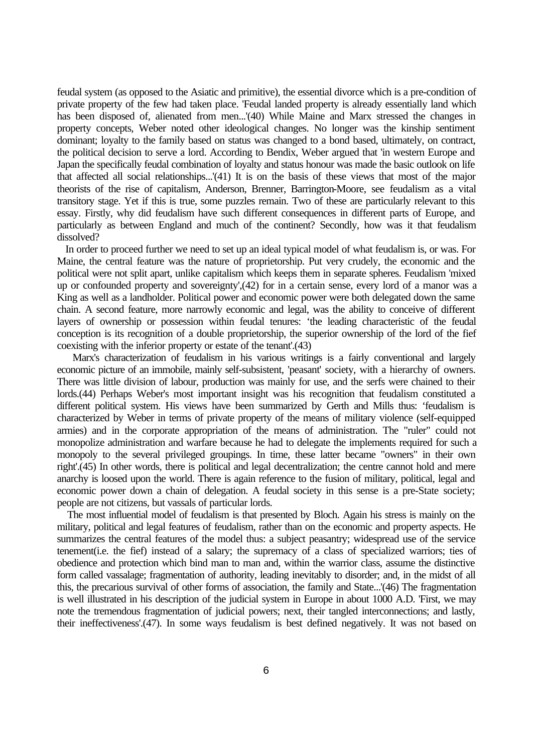feudal system (as opposed to the Asiatic and primitive), the essential divorce which is a pre-condition of private property of the few had taken place. 'Feudal landed property is already essentially land which has been disposed of, alienated from men...'(40) While Maine and Marx stressed the changes in property concepts, Weber noted other ideological changes. No longer was the kinship sentiment dominant; loyalty to the family based on status was changed to a bond based, ultimately, on contract, the political decision to serve a lord. According to Bendix, Weber argued that 'in western Europe and Japan the specifically feudal combination of loyalty and status honour was made the basic outlook on life that affected all social relationships...'(41) It is on the basis of these views that most of the major theorists of the rise of capitalism, Anderson, Brenner, Barrington-Moore, see feudalism as a vital transitory stage. Yet if this is true, some puzzles remain. Two of these are particularly relevant to this essay. Firstly, why did feudalism have such different consequences in different parts of Europe, and particularly as between England and much of the continent? Secondly, how was it that feudalism dissolved?

 In order to proceed further we need to set up an ideal typical model of what feudalism is, or was. For Maine, the central feature was the nature of proprietorship. Put very crudely, the economic and the political were not split apart, unlike capitalism which keeps them in separate spheres. Feudalism 'mixed up or confounded property and sovereignty',(42) for in a certain sense, every lord of a manor was a King as well as a landholder. Political power and economic power were both delegated down the same chain. A second feature, more narrowly economic and legal, was the ability to conceive of different layers of ownership or possession within feudal tenures: 'the leading characteristic of the feudal conception is its recognition of a double proprietorship, the superior ownership of the lord of the fief coexisting with the inferior property or estate of the tenant'.(43)

 Marx's characterization of feudalism in his various writings is a fairly conventional and largely economic picture of an immobile, mainly self-subsistent, 'peasant' society, with a hierarchy of owners. There was little division of labour, production was mainly for use, and the serfs were chained to their lords.(44) Perhaps Weber's most important insight was his recognition that feudalism constituted a different political system. His views have been summarized by Gerth and Mills thus: 'feudalism is characterized by Weber in terms of private property of the means of military violence (self-equipped armies) and in the corporate appropriation of the means of administration. The "ruler" could not monopolize administration and warfare because he had to delegate the implements required for such a monopoly to the several privileged groupings. In time, these latter became "owners" in their own right'.(45) In other words, there is political and legal decentralization; the centre cannot hold and mere anarchy is loosed upon the world. There is again reference to the fusion of military, political, legal and economic power down a chain of delegation. A feudal society in this sense is a pre-State society; people are not citizens, but vassals of particular lords.

 The most influential model of feudalism is that presented by Bloch. Again his stress is mainly on the military, political and legal features of feudalism, rather than on the economic and property aspects. He summarizes the central features of the model thus: a subject peasantry; widespread use of the service tenement(i.e. the fief) instead of a salary; the supremacy of a class of specialized warriors; ties of obedience and protection which bind man to man and, within the warrior class, assume the distinctive form called vassalage; fragmentation of authority, leading inevitably to disorder; and, in the midst of all this, the precarious survival of other forms of association, the family and State...'(46) The fragmentation is well illustrated in his description of the judicial system in Europe in about 1000 A.D. 'First, we may note the tremendous fragmentation of judicial powers; next, their tangled interconnections; and lastly, their ineffectiveness'.(47). In some ways feudalism is best defined negatively. It was not based on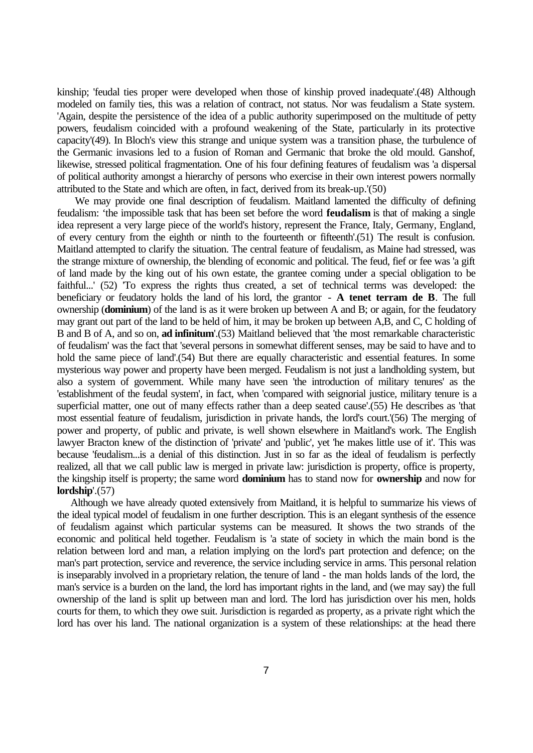kinship; 'feudal ties proper were developed when those of kinship proved inadequate'.(48) Although modeled on family ties, this was a relation of contract, not status. Nor was feudalism a State system. 'Again, despite the persistence of the idea of a public authority superimposed on the multitude of petty powers, feudalism coincided with a profound weakening of the State, particularly in its protective capacity'(49). In Bloch's view this strange and unique system was a transition phase, the turbulence of the Germanic invasions led to a fusion of Roman and Germanic that broke the old mould. Ganshof, likewise, stressed political fragmentation. One of his four defining features of feudalism was 'a dispersal of political authority amongst a hierarchy of persons who exercise in their own interest powers normally attributed to the State and which are often, in fact, derived from its break-up.'(50)

 We may provide one final description of feudalism. Maitland lamented the difficulty of defining feudalism: 'the impossible task that has been set before the word **feudalism** is that of making a single idea represent a very large piece of the world's history, represent the France, Italy, Germany, England, of every century from the eighth or ninth to the fourteenth or fifteenth'.(51) The result is confusion. Maitland attempted to clarify the situation. The central feature of feudalism, as Maine had stressed, was the strange mixture of ownership, the blending of economic and political. The feud, fief or fee was 'a gift of land made by the king out of his own estate, the grantee coming under a special obligation to be faithful...' (52) 'To express the rights thus created, a set of technical terms was developed: the beneficiary or feudatory holds the land of his lord, the grantor - **A tenet terram de B**. The full ownership (**dominium**) of the land is as it were broken up between A and B; or again, for the feudatory may grant out part of the land to be held of him, it may be broken up between A,B, and C, C holding of B and B of A, and so on, **ad infinitum**'.(53) Maitland believed that 'the most remarkable characteristic of feudalism' was the fact that 'several persons in somewhat different senses, may be said to have and to hold the same piece of land'.(54) But there are equally characteristic and essential features. In some mysterious way power and property have been merged. Feudalism is not just a landholding system, but also a system of government. While many have seen 'the introduction of military tenures' as the 'establishment of the feudal system', in fact, when 'compared with seignorial justice, military tenure is a superficial matter, one out of many effects rather than a deep seated cause'.(55) He describes as 'that most essential feature of feudalism, jurisdiction in private hands, the lord's court.'(56) The merging of power and property, of public and private, is well shown elsewhere in Maitland's work. The English lawyer Bracton knew of the distinction of 'private' and 'public', yet 'he makes little use of it'. This was because 'feudalism...is a denial of this distinction. Just in so far as the ideal of feudalism is perfectly realized, all that we call public law is merged in private law: jurisdiction is property, office is property, the kingship itself is property; the same word **dominium** has to stand now for **ownership** and now for **lordship**'.(57)

 Although we have already quoted extensively from Maitland, it is helpful to summarize his views of the ideal typical model of feudalism in one further description. This is an elegant synthesis of the essence of feudalism against which particular systems can be measured. It shows the two strands of the economic and political held together. Feudalism is 'a state of society in which the main bond is the relation between lord and man, a relation implying on the lord's part protection and defence; on the man's part protection, service and reverence, the service including service in arms. This personal relation is inseparably involved in a proprietary relation, the tenure of land - the man holds lands of the lord, the man's service is a burden on the land, the lord has important rights in the land, and (we may say) the full ownership of the land is split up between man and lord. The lord has jurisdiction over his men, holds courts for them, to which they owe suit. Jurisdiction is regarded as property, as a private right which the lord has over his land. The national organization is a system of these relationships: at the head there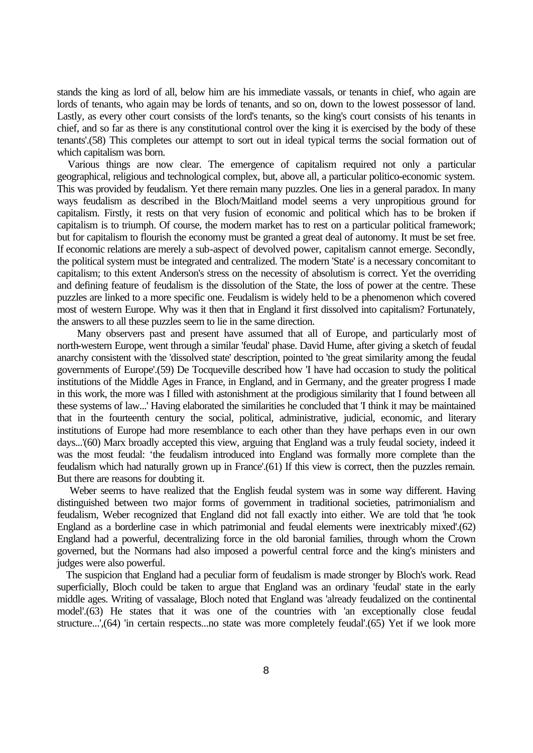stands the king as lord of all, below him are his immediate vassals, or tenants in chief, who again are lords of tenants, who again may be lords of tenants, and so on, down to the lowest possessor of land. Lastly, as every other court consists of the lord's tenants, so the king's court consists of his tenants in chief, and so far as there is any constitutional control over the king it is exercised by the body of these tenants'.(58) This completes our attempt to sort out in ideal typical terms the social formation out of which capitalism was born.

 Various things are now clear. The emergence of capitalism required not only a particular geographical, religious and technological complex, but, above all, a particular politico-economic system. This was provided by feudalism. Yet there remain many puzzles. One lies in a general paradox. In many ways feudalism as described in the Bloch/Maitland model seems a very unpropitious ground for capitalism. Firstly, it rests on that very fusion of economic and political which has to be broken if capitalism is to triumph. Of course, the modern market has to rest on a particular political framework; but for capitalism to flourish the economy must be granted a great deal of autonomy. It must be set free. If economic relations are merely a sub-aspect of devolved power, capitalism cannot emerge. Secondly, the political system must be integrated and centralized. The modern 'State' is a necessary concomitant to capitalism; to this extent Anderson's stress on the necessity of absolutism is correct. Yet the overriding and defining feature of feudalism is the dissolution of the State, the loss of power at the centre. These puzzles are linked to a more specific one. Feudalism is widely held to be a phenomenon which covered most of western Europe. Why was it then that in England it first dissolved into capitalism? Fortunately, the answers to all these puzzles seem to lie in the same direction.

 Many observers past and present have assumed that all of Europe, and particularly most of north-western Europe, went through a similar 'feudal' phase. David Hume, after giving a sketch of feudal anarchy consistent with the 'dissolved state' description, pointed to 'the great similarity among the feudal governments of Europe'.(59) De Tocqueville described how 'I have had occasion to study the political institutions of the Middle Ages in France, in England, and in Germany, and the greater progress I made in this work, the more was I filled with astonishment at the prodigious similarity that I found between all these systems of law...' Having elaborated the similarities he concluded that 'I think it may be maintained that in the fourteenth century the social, political, administrative, judicial, economic, and literary institutions of Europe had more resemblance to each other than they have perhaps even in our own days...'(60) Marx broadly accepted this view, arguing that England was a truly feudal society, indeed it was the most feudal: 'the feudalism introduced into England was formally more complete than the feudalism which had naturally grown up in France'.(61) If this view is correct, then the puzzles remain. But there are reasons for doubting it.

 Weber seems to have realized that the English feudal system was in some way different. Having distinguished between two major forms of government in traditional societies, patrimonialism and feudalism, Weber recognized that England did not fall exactly into either. We are told that 'he took England as a borderline case in which patrimonial and feudal elements were inextricably mixed'.(62) England had a powerful, decentralizing force in the old baronial families, through whom the Crown governed, but the Normans had also imposed a powerful central force and the king's ministers and judges were also powerful.

 The suspicion that England had a peculiar form of feudalism is made stronger by Bloch's work. Read superficially, Bloch could be taken to argue that England was an ordinary 'feudal' state in the early middle ages. Writing of vassalage, Bloch noted that England was 'already feudalized on the continental model'.(63) He states that it was one of the countries with 'an exceptionally close feudal structure...',(64) 'in certain respects...no state was more completely feudal'.(65) Yet if we look more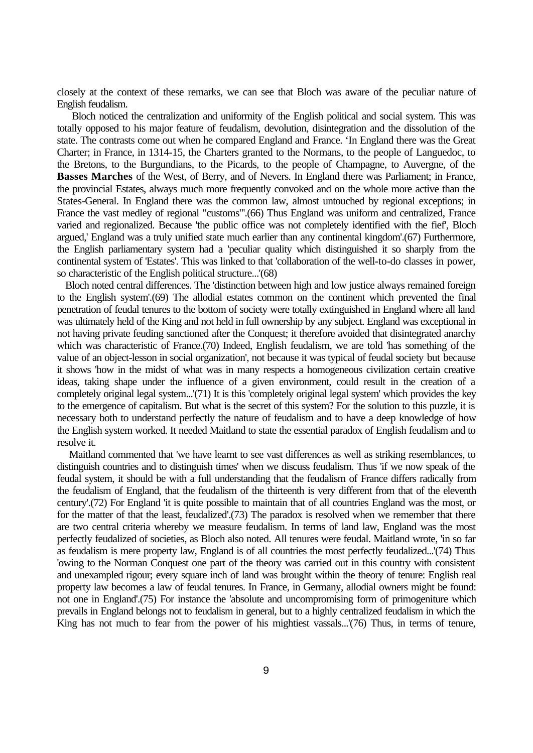closely at the context of these remarks, we can see that Bloch was aware of the peculiar nature of English feudalism.

 Bloch noticed the centralization and uniformity of the English political and social system. This was totally opposed to his major feature of feudalism, devolution, disintegration and the dissolution of the state. The contrasts come out when he compared England and France. 'In England there was the Great Charter; in France, in 1314-15, the Charters granted to the Normans, to the people of Languedoc, to the Bretons, to the Burgundians, to the Picards, to the people of Champagne, to Auvergne, of the **Basses Marches** of the West, of Berry, and of Nevers. In England there was Parliament; in France, the provincial Estates, always much more frequently convoked and on the whole more active than the States-General. In England there was the common law, almost untouched by regional exceptions; in France the vast medley of regional "customs"'.(66) Thus England was uniform and centralized, France varied and regionalized. Because 'the public office was not completely identified with the fief', Bloch argued,' England was a truly unified state much earlier than any continental kingdom'.(67) Furthermore, the English parliamentary system had a 'peculiar quality which distinguished it so sharply from the continental system of 'Estates'. This was linked to that 'collaboration of the well-to-do classes in power, so characteristic of the English political structure...'(68)

 Bloch noted central differences. The 'distinction between high and low justice always remained foreign to the English system'.(69) The allodial estates common on the continent which prevented the final penetration of feudal tenures to the bottom of society were totally extinguished in England where all land was ultimately held of the King and not held in full ownership by any subject. England was exceptional in not having private feuding sanctioned after the Conquest; it therefore avoided that disintegrated anarchy which was characteristic of France.(70) Indeed, English feudalism, we are told 'has something of the value of an object-lesson in social organization', not because it was typical of feudal society but because it shows 'how in the midst of what was in many respects a homogeneous civilization certain creative ideas, taking shape under the influence of a given environment, could result in the creation of a completely original legal system...'(71) It is this 'completely original legal system' which provides the key to the emergence of capitalism. But what is the secret of this system? For the solution to this puzzle, it is necessary both to understand perfectly the nature of feudalism and to have a deep knowledge of how the English system worked. It needed Maitland to state the essential paradox of English feudalism and to resolve it.

 Maitland commented that 'we have learnt to see vast differences as well as striking resemblances, to distinguish countries and to distinguish times' when we discuss feudalism. Thus 'if we now speak of the feudal system, it should be with a full understanding that the feudalism of France differs radically from the feudalism of England, that the feudalism of the thirteenth is very different from that of the eleventh century'.(72) For England 'it is quite possible to maintain that of all countries England was the most, or for the matter of that the least, feudalized'.(73) The paradox is resolved when we remember that there are two central criteria whereby we measure feudalism. In terms of land law, England was the most perfectly feudalized of societies, as Bloch also noted. All tenures were feudal. Maitland wrote, 'in so far as feudalism is mere property law, England is of all countries the most perfectly feudalized...'(74) Thus 'owing to the Norman Conquest one part of the theory was carried out in this country with consistent and unexampled rigour; every square inch of land was brought within the theory of tenure: English real property law becomes a law of feudal tenures. In France, in Germany, allodial owners might be found: not one in England'.(75) For instance the 'absolute and uncompromising form of primogeniture which prevails in England belongs not to feudalism in general, but to a highly centralized feudalism in which the King has not much to fear from the power of his mightiest vassals...'(76) Thus, in terms of tenure,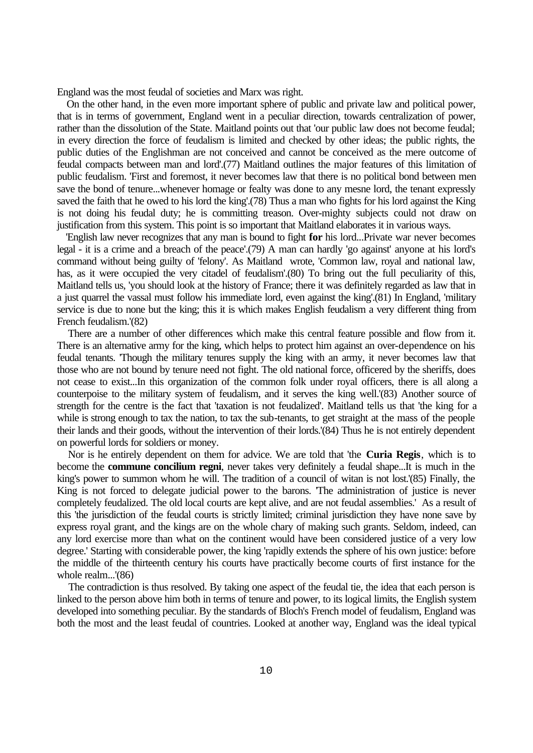England was the most feudal of societies and Marx was right.

 On the other hand, in the even more important sphere of public and private law and political power, that is in terms of government, England went in a peculiar direction, towards centralization of power, rather than the dissolution of the State. Maitland points out that 'our public law does not become feudal; in every direction the force of feudalism is limited and checked by other ideas; the public rights, the public duties of the Englishman are not conceived and cannot be conceived as the mere outcome of feudal compacts between man and lord'.(77) Maitland outlines the major features of this limitation of public feudalism. 'First and foremost, it never becomes law that there is no political bond between men save the bond of tenure...whenever homage or fealty was done to any mesne lord, the tenant expressly saved the faith that he owed to his lord the king'.(78) Thus a man who fights for his lord against the King is not doing his feudal duty; he is committing treason. Over-mighty subjects could not draw on justification from this system. This point is so important that Maitland elaborates it in various ways.

 'English law never recognizes that any man is bound to fight **for** his lord...Private war never becomes legal - it is a crime and a breach of the peace'.(79) A man can hardly 'go against' anyone at his lord's command without being guilty of 'felony'. As Maitland wrote, 'Common law, royal and national law, has, as it were occupied the very citadel of feudalism'.(80) To bring out the full peculiarity of this, Maitland tells us, 'you should look at the history of France; there it was definitely regarded as law that in a just quarrel the vassal must follow his immediate lord, even against the king'.(81) In England, 'military service is due to none but the king; this it is which makes English feudalism a very different thing from French feudalism.'(82)

 There are a number of other differences which make this central feature possible and flow from it. There is an alternative army for the king, which helps to protect him against an over-dependence on his feudal tenants. 'Though the military tenures supply the king with an army, it never becomes law that those who are not bound by tenure need not fight. The old national force, officered by the sheriffs, does not cease to exist...In this organization of the common folk under royal officers, there is all along a counterpoise to the military system of feudalism, and it serves the king well.'(83) Another source of strength for the centre is the fact that 'taxation is not feudalized'. Maitland tells us that 'the king for a while is strong enough to tax the nation, to tax the sub-tenants, to get straight at the mass of the people their lands and their goods, without the intervention of their lords.'(84) Thus he is not entirely dependent on powerful lords for soldiers or money.

 Nor is he entirely dependent on them for advice. We are told that 'the **Curia Regis**, which is to become the **commune concilium regni**, never takes very definitely a feudal shape...It is much in the king's power to summon whom he will. The tradition of a council of witan is not lost.'(85) Finally, the King is not forced to delegate judicial power to the barons. 'The administration of justice is never completely feudalized. The old local courts are kept alive, and are not feudal assemblies.' As a result of this 'the jurisdiction of the feudal courts is strictly limited; criminal jurisdiction they have none save by express royal grant, and the kings are on the whole chary of making such grants. Seldom, indeed, can any lord exercise more than what on the continent would have been considered justice of a very low degree.' Starting with considerable power, the king 'rapidly extends the sphere of his own justice: before the middle of the thirteenth century his courts have practically become courts of first instance for the whole realm...'(86)

 The contradiction is thus resolved. By taking one aspect of the feudal tie, the idea that each person is linked to the person above him both in terms of tenure and power, to its logical limits, the English system developed into something peculiar. By the standards of Bloch's French model of feudalism, England was both the most and the least feudal of countries. Looked at another way, England was the ideal typical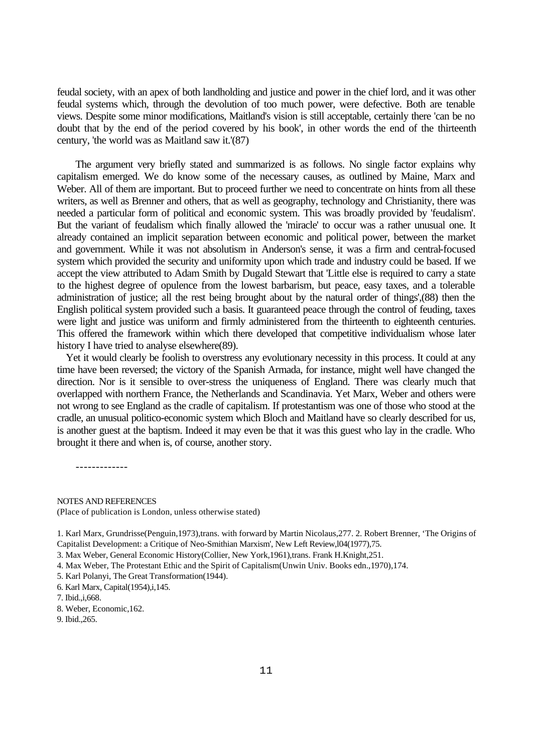feudal society, with an apex of both landholding and justice and power in the chief lord, and it was other feudal systems which, through the devolution of too much power, were defective. Both are tenable views. Despite some minor modifications, Maitland's vision is still acceptable, certainly there 'can be no doubt that by the end of the period covered by his book', in other words the end of the thirteenth century, 'the world was as Maitland saw it.'(87)

 The argument very briefly stated and summarized is as follows. No single factor explains why capitalism emerged. We do know some of the necessary causes, as outlined by Maine, Marx and Weber. All of them are important. But to proceed further we need to concentrate on hints from all these writers, as well as Brenner and others, that as well as geography, technology and Christianity, there was needed a particular form of political and economic system. This was broadly provided by 'feudalism'. But the variant of feudalism which finally allowed the 'miracle' to occur was a rather unusual one. It already contained an implicit separation between economic and political power, between the market and government. While it was not absolutism in Anderson's sense, it was a firm and central-focused system which provided the security and uniformity upon which trade and industry could be based. If we accept the view attributed to Adam Smith by Dugald Stewart that 'Little else is required to carry a state to the highest degree of opulence from the lowest barbarism, but peace, easy taxes, and a tolerable administration of justice; all the rest being brought about by the natural order of things',(88) then the English political system provided such a basis. It guaranteed peace through the control of feuding, taxes were light and justice was uniform and firmly administered from the thirteenth to eighteenth centuries. This offered the framework within which there developed that competitive individualism whose later history I have tried to analyse elsewhere(89).

 Yet it would clearly be foolish to overstress any evolutionary necessity in this process. It could at any time have been reversed; the victory of the Spanish Armada, for instance, might well have changed the direction. Nor is it sensible to over-stress the uniqueness of England. There was clearly much that overlapped with northern France, the Netherlands and Scandinavia. Yet Marx, Weber and others were not wrong to see England as the cradle of capitalism. If protestantism was one of those who stood at the cradle, an unusual politico-economic system which Bloch and Maitland have so clearly described for us, is another guest at the baptism. Indeed it may even be that it was this guest who lay in the cradle. Who brought it there and when is, of course, another story.

-------------

NOTES AND REFERENCES (Place of publication is London, unless otherwise stated)

1. Karl Marx, Grundrisse(Penguin,1973),trans. with forward by Martin Nicolaus,277. 2. Robert Brenner, 'The Origins of Capitalist Development: a Critique of Neo-Smithian Marxism', New Left Review,l04(1977),75.

3. Max Weber, General Economic History(Collier, New York,1961),trans. Frank H.Knight,251.

4. Max Weber, The Protestant Ethic and the Spirit of Capitalism(Unwin Univ. Books edn.,1970),174.

5. Karl Polanyi, The Great Transformation(1944).

6. Karl Marx, Capital(1954),i,145.

7. Ibid.,i,668.

9. Ibid.,265.

<sup>8.</sup> Weber, Economic,162.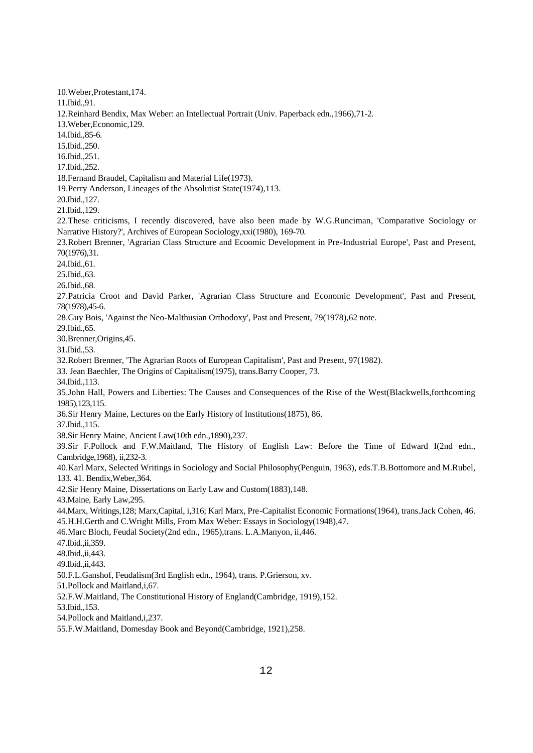10.Weber,Protestant,174. 11.Ibid.,91. 12.Reinhard Bendix, Max Weber: an Intellectual Portrait (Univ. Paperback edn.,1966),71-2. 13.Weber,Economic,129. 14.Ibid.,85-6. 15.Ibid.,250. 16.Ibid.,251. 17.Ibid.,252. 18.Fernand Braudel, Capitalism and Material Life(1973). 19.Perry Anderson, Lineages of the Absolutist State(1974),113. 20.Ibid.,127. 21.Ibid.,129. 22.These criticisms, I recently discovered, have also been made by W.G.Runciman, 'Comparative Sociology or Narrative History?', Archives of European Sociology,xxi(1980), 169-70. 23.Robert Brenner, 'Agrarian Class Structure and Ecoomic Development in Pre-Industrial Europe', Past and Present, 70(1976),31. 24.Ibid.,61. 25.Ibid.,63. 26.Ibid.,68. 27.Patricia Croot and David Parker, 'Agrarian Class Structure and Economic Development', Past and Present, 78(1978),45-6. 28.Guy Bois, 'Against the Neo-Malthusian Orthodoxy', Past and Present, 79(1978),62 note. 29.Ibid.,65. 30.Brenner,Origins,45. 31.Ibid.,53. 32.Robert Brenner, 'The Agrarian Roots of European Capitalism', Past and Present, 97(1982). 33. Jean Baechler, The Origins of Capitalism(1975), trans.Barry Cooper, 73. 34.Ibid.,113. 35.John Hall, Powers and Liberties: The Causes and Consequences of the Rise of the West(Blackwells,forthcoming 1985),123,115. 36.Sir Henry Maine, Lectures on the Early History of Institutions(1875), 86. 37.Ibid.,115. 38.Sir Henry Maine, Ancient Law(10th edn.,1890),237. 39.Sir F.Pollock and F.W.Maitland, The History of English Law: Before the Time of Edward I(2nd edn., Cambridge,1968), ii,232-3. 40.Karl Marx, Selected Writings in Sociology and Social Philosophy(Penguin, 1963), eds.T.B.Bottomore and M.Rubel, 133. 41. Bendix,Weber,364. 42.Sir Henry Maine, Dissertations on Early Law and Custom(1883),148. 43.Maine, Early Law,295. 44.Marx, Writings,128; Marx,Capital, i,316; Karl Marx, Pre-Capitalist Economic Formations(1964), trans.Jack Cohen, 46. 45.H.H.Gerth and C.Wright Mills, From Max Weber: Essays in Sociology(1948),47. 46.Marc Bloch, Feudal Society(2nd edn., 1965),trans. L.A.Manyon, ii,446. 47.Ibid.,ii,359. 48.Ibid.,ii,443. 49.Ibid.,ii,443. 50.F.L.Ganshof, Feudalism(3rd English edn., 1964), trans. P.Grierson, xv. 51.Pollock and Maitland,i,67. 52.F.W.Maitland, The Constitutional History of England(Cambridge, 1919),152. 53.Ibid.,153.

54.Pollock and Maitland,i,237.

55.F.W.Maitland, Domesday Book and Beyond(Cambridge, 1921),258.